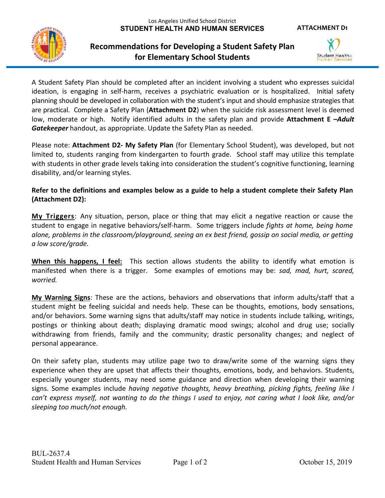## **Recommendations for Developing a Student Safety Plan for Elementary School Students**



**ATTACHMENT D1**

A Student Safety Plan should be completed after an incident involving a student who expresses suicidal ideation, is engaging in self-harm, receives a psychiatric evaluation or is hospitalized. Initial safety planning should be developed in collaboration with the student's input and should emphasize strategies that are practical. Complete a Safety Plan (**Attachment D2**) when the suicide risk assessment level is deemed low, moderate or high. Notify identified adults in the safety plan and provide **Attachment E –***Adult Gatekeeper* handout, as appropriate. Update the Safety Plan as needed.

Please note: **Attachment D2- My Safety Plan** (for Elementary School Student), was developed, but not limited to, students ranging from kindergarten to fourth grade. School staff may utilize this template with students in other grade levels taking into consideration the student's cognitive functioning, learning disability, and/or learning styles*.* 

**Refer to the definitions and examples below as a guide to help a student complete their Safety Plan (Attachment D2):**

**My Triggers**: Any situation, person, place or thing that may elicit a negative reaction or cause the student to engage in negative behaviors/self-harm. Some triggers include *fights at home, being home alone, problems in the classroom/playground, seeing an ex best friend, gossip on social media, or getting a low score/grade.*

**When this happens, I feel:** This section allows students the ability to identify what emotion is manifested when there is a trigger. Some examples of emotions may be: *sad, mad, hurt, scared, worried.*

**My Warning Signs**: These are the actions, behaviors and observations that inform adults/staff that a student might be feeling suicidal and needs help. These can be thoughts, emotions, body sensations, and/or behaviors. Some warning signs that adults/staff may notice in students include talking, writings, postings or thinking about death; displaying dramatic mood swings; alcohol and drug use; socially withdrawing from friends, family and the community; drastic personality changes; and neglect of personal appearance.

On their safety plan, students may utilize page two to draw/write some of the warning signs they experience when they are upset that affects their thoughts, emotions, body, and behaviors. Students, especially younger students, may need some guidance and direction when developing their warning signs. Some examples include *having negative thoughts, heavy breathing, picking fights, feeling like I can't express myself, not wanting to do the things I used to enjoy, not caring what I look like, and/or sleeping too much/not enough.*